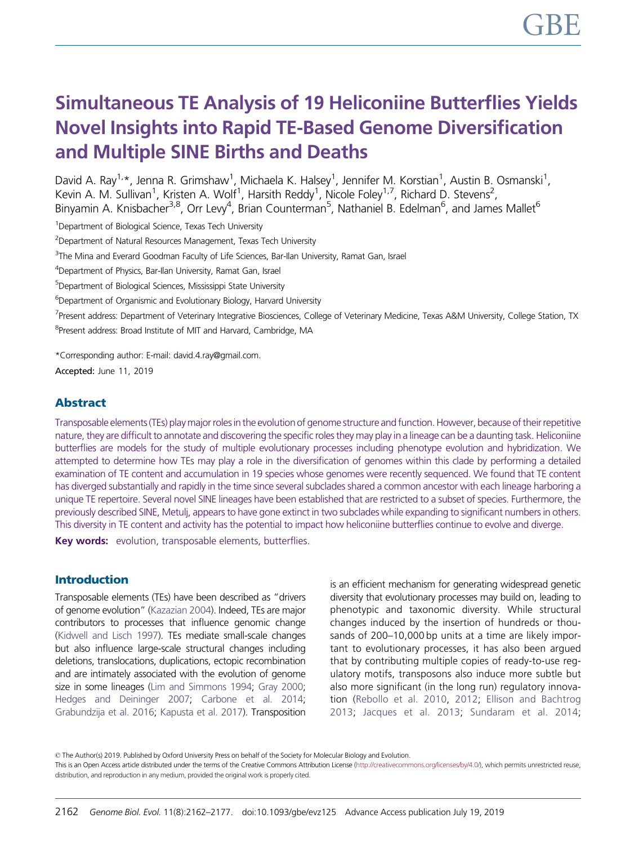# Simultaneous TE Analysis of 19 Heliconiine Butterflies Yields Novel Insights into Rapid TE-Based Genome Diversification and Multiple SINE Births and Deaths

David A. Ray<sup>1,</sup>\*, Jenna R. Grimshaw<sup>1</sup>, Michaela K. Halsey<sup>1</sup>, Jennifer M. Korstian<sup>1</sup>, Austin B. Osmanski<sup>1</sup>, Kevin A. M. Sullivan<sup>1</sup>, Kristen A. Wolf<sup>1</sup>, Harsith Reddy<sup>1</sup>, Nicole Foley<sup>1,7</sup>, Richard D. Stevens<sup>2</sup>, Binyamin A. Knisbacher<sup>3,8</sup>, Orr Levy<sup>4</sup>, Brian Counterman<sup>5</sup>, Nathaniel B. Edelman<sup>6</sup>, and James Mallet<sup>6</sup>

<sup>1</sup>Department of Biological Science, Texas Tech University

<sup>2</sup>Department of Natural Resources Management, Texas Tech University

<sup>3</sup>The Mina and Everard Goodman Faculty of Life Sciences, Bar-Ilan University, Ramat Gan, Israel

<sup>4</sup>Department of Physics, Bar-Ilan University, Ramat Gan, Israel

5 Department of Biological Sciences, Mississippi State University

<sup>6</sup>Department of Organismic and Evolutionary Biology, Harvard University

<sup>7</sup>Present address: Department of Veterinary Integrative Biosciences, College of Veterinary Medicine, Texas A&M University, College Station, TX <sup>8</sup>Present address: Broad Institute of MIT and Harvard, Cambridge, MA

\*Corresponding author: E-mail: david.4.ray@gmail.com.

Accepted: June 11, 2019

# Abstract

Transposable elements (TEs) play major rolesin the evolutionof genome structure and function. However, because of their repetitive nature, they are difficult to annotate and discovering the specific roles they may play in a lineage can be a daunting task. Heliconiine butterflies are models for the study of multiple evolutionary processes including phenotype evolution and hybridization. We attempted to determine how TEs may play a role in the diversification of genomes within this clade by performing a detailed examination of TE content and accumulation in 19 species whose genomes were recently sequenced. We found that TE content has diverged substantially and rapidly in the time since several subclades shared a common ancestor with each lineage harboring a unique TE repertoire. Several novel SINE lineages have been established that are restricted to a subset of species. Furthermore, the previously described SINE, Metulj, appears to have gone extinct in two subclades while expanding to significant numbers in others. This diversity in TE content and activity has the potential to impact how heliconiine butterflies continue to evolve and diverge.

Key words: evolution, transposable elements, butterflies.

# Introduction

Transposable elements (TEs) have been described as "drivers of genome evolution" ([Kazazian 2004](#page-14-0)). Indeed, TEs are major contributors to processes that influence genomic change [\(Kidwell and Lisch 1997\)](#page-14-0). TEs mediate small-scale changes but also influence large-scale structural changes including deletions, translocations, duplications, ectopic recombination and are intimately associated with the evolution of genome size in some lineages ([Lim and Simmons 1994;](#page-14-0) [Gray 2000;](#page-14-0) [Hedges and Deininger 2007](#page-14-0); [Carbone et al. 2014;](#page-13-0) [Grabundzija et al. 2016;](#page-14-0) [Kapusta et al. 2017](#page-14-0)). Transposition is an efficient mechanism for generating widespread genetic diversity that evolutionary processes may build on, leading to phenotypic and taxonomic diversity. While structural changes induced by the insertion of hundreds or thousands of 200–10,000 bp units at a time are likely important to evolutionary processes, it has also been argued that by contributing multiple copies of ready-to-use regulatory motifs, transposons also induce more subtle but also more significant (in the long run) regulatory innovation [\(Rebollo et al. 2010,](#page-15-0) [2012](#page-15-0); [Ellison and Bachtrog](#page-14-0) [2013;](#page-14-0) [Jacques et al. 2013](#page-14-0); [Sundaram et al. 2014](#page-15-0);

© The Author(s) 2019. Published by Oxford University Press on behalf of the Society for Molecular Biology and Evolution.

This is an Open Access article distributed under the terms of the Creative Commons Attribution License ([http://creativecommons.org/licenses/by/4.0/\)](http://creativecommons.org/licenses/by/4.0/), which permits unrestricted reuse, distribution, and reproduction in any medium, provided the original work is properly cited.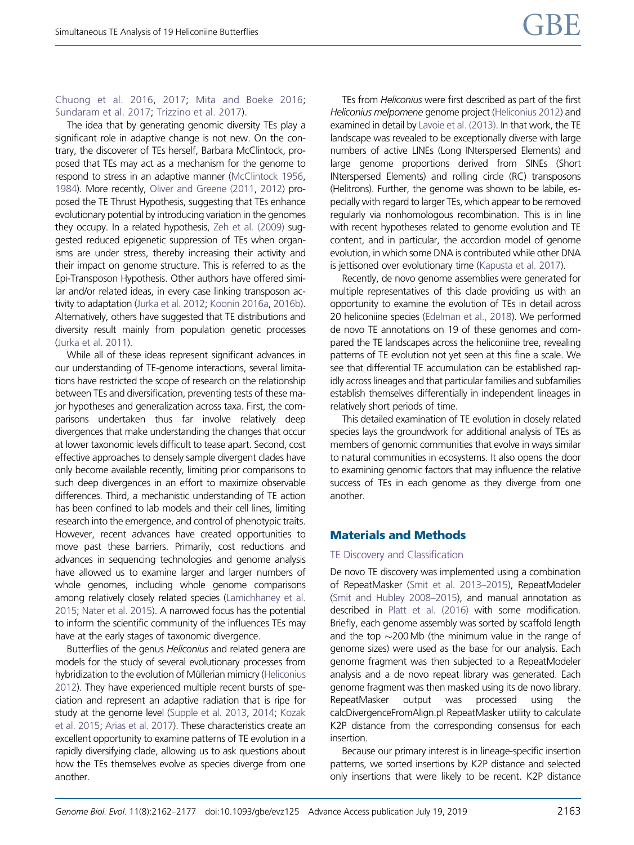#### [Chuong et al. 2016,](#page-13-0) [2017;](#page-13-0) [Mita and Boeke 2016;](#page-14-0) [Sundaram et al. 2017;](#page-15-0) [Trizzino et al. 2017](#page-15-0)).

The idea that by generating genomic diversity TEs play a significant role in adaptive change is not new. On the contrary, the discoverer of TEs herself, Barbara McClintock, proposed that TEs may act as a mechanism for the genome to respond to stress in an adaptive manner [\(McClintock 1956,](#page-14-0) [1984](#page-14-0)). More recently, [Oliver and Greene \(2011](#page-15-0), [2012](#page-15-0)) proposed the TE Thrust Hypothesis, suggesting that TEs enhance evolutionary potential by introducing variation in the genomes they occupy. In a related hypothesis, [Zeh et al. \(2009\)](#page-15-0) suggested reduced epigenetic suppression of TEs when organisms are under stress, thereby increasing their activity and their impact on genome structure. This is referred to as the Epi-Transposon Hypothesis. Other authors have offered similar and/or related ideas, in every case linking transposon activity to adaptation [\(Jurka et al. 2012;](#page-14-0) [Koonin 2016a](#page-14-0), [2016b](#page-14-0)). Alternatively, others have suggested that TE distributions and diversity result mainly from population genetic processes [\(Jurka et al. 2011\)](#page-14-0).

While all of these ideas represent significant advances in our understanding of TE-genome interactions, several limitations have restricted the scope of research on the relationship between TEs and diversification, preventing tests of these major hypotheses and generalization across taxa. First, the comparisons undertaken thus far involve relatively deep divergences that make understanding the changes that occur at lower taxonomic levels difficult to tease apart. Second, cost effective approaches to densely sample divergent clades have only become available recently, limiting prior comparisons to such deep divergences in an effort to maximize observable differences. Third, a mechanistic understanding of TE action has been confined to lab models and their cell lines, limiting research into the emergence, and control of phenotypic traits. However, recent advances have created opportunities to move past these barriers. Primarily, cost reductions and advances in sequencing technologies and genome analysis have allowed us to examine larger and larger numbers of whole genomes, including whole genome comparisons among relatively closely related species ([Lamichhaney et al.](#page-14-0) [2015](#page-14-0); [Nater et al. 2015\)](#page-15-0). A narrowed focus has the potential to inform the scientific community of the influences TEs may have at the early stages of taxonomic divergence.

Butterflies of the genus Heliconius and related genera are models for the study of several evolutionary processes from hybridization to the evolution of Müllerian mimicry [\(Heliconius](#page-14-0) [2012](#page-14-0)). They have experienced multiple recent bursts of speciation and represent an adaptive radiation that is ripe for study at the genome level ([Supple et al. 2013,](#page-15-0) [2014;](#page-15-0) [Kozak](#page-14-0) [et al. 2015;](#page-14-0) [Arias et al. 2017\)](#page-13-0). These characteristics create an excellent opportunity to examine patterns of TE evolution in a rapidly diversifying clade, allowing us to ask questions about how the TEs themselves evolve as species diverge from one another.

TEs from Heliconius were first described as part of the first Heliconius melpomene genome project [\(Heliconius 2012](#page-14-0)) and examined in detail by [Lavoie et al. \(2013\).](#page-14-0) In that work, the TE landscape was revealed to be exceptionally diverse with large numbers of active LINEs (Long INterspersed Elements) and large genome proportions derived from SINEs (Short INterspersed Elements) and rolling circle (RC) transposons (Helitrons). Further, the genome was shown to be labile, especially with regard to larger TEs, which appear to be removed regularly via nonhomologous recombination. This is in line with recent hypotheses related to genome evolution and TE content, and in particular, the accordion model of genome evolution, in which some DNA is contributed while other DNA is jettisoned over evolutionary time [\(Kapusta et al. 2017\)](#page-14-0).

Recently, de novo genome assemblies were generated for multiple representatives of this clade providing us with an opportunity to examine the evolution of TEs in detail across 20 heliconiine species ([Edelman et al., 2018\)](#page-14-0). We performed de novo TE annotations on 19 of these genomes and compared the TE landscapes across the heliconiine tree, revealing patterns of TE evolution not yet seen at this fine a scale. We see that differential TE accumulation can be established rapidly across lineages and that particular families and subfamilies establish themselves differentially in independent lineages in relatively short periods of time.

This detailed examination of TE evolution in closely related species lays the groundwork for additional analysis of TEs as members of genomic communities that evolve in ways similar to natural communities in ecosystems. It also opens the door to examining genomic factors that may influence the relative success of TEs in each genome as they diverge from one another.

# Materials and Methods

#### TE Discovery and Classification

De novo TE discovery was implemented using a combination of RepeatMasker [\(Smit et al. 2013–2015](#page-15-0)), RepeatModeler [\(Smit and Hubley 2008–2015\)](#page-15-0), and manual annotation as described in [Platt et al. \(2016\)](#page-15-0) with some modification. Briefly, each genome assembly was sorted by scaffold length and the top  $\sim$  200 Mb (the minimum value in the range of genome sizes) were used as the base for our analysis. Each genome fragment was then subjected to a RepeatModeler analysis and a de novo repeat library was generated. Each genome fragment was then masked using its de novo library. RepeatMasker output was processed using the calcDivergenceFromAlign.pl RepeatMasker utility to calculate K2P distance from the corresponding consensus for each insertion.

Because our primary interest is in lineage-specific insertion patterns, we sorted insertions by K2P distance and selected only insertions that were likely to be recent. K2P distance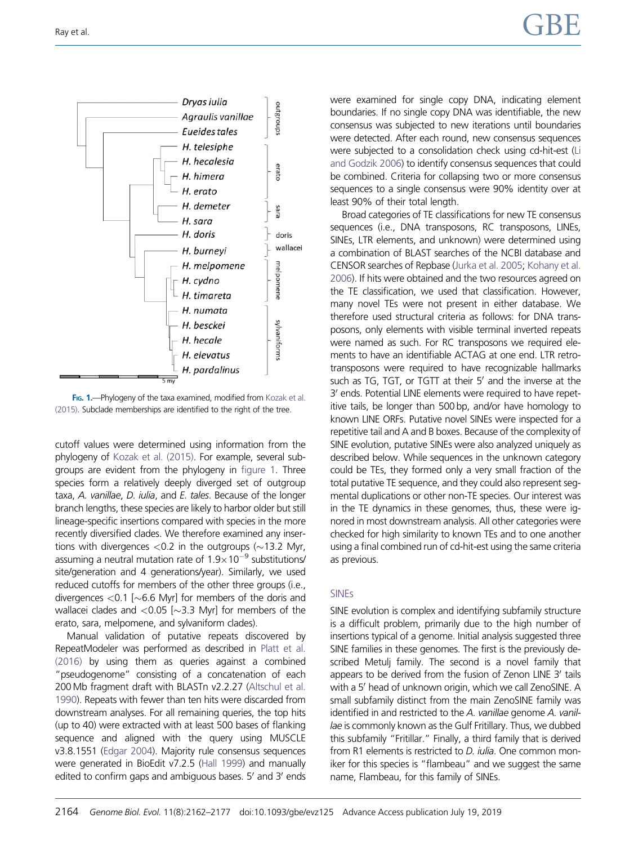<span id="page-2-0"></span>

FIG. 1.-Phylogeny of the taxa examined, modified from [Kozak et al.](#page-14-0) [\(2015\).](#page-14-0) Subclade memberships are identified to the right of the tree.

cutoff values were determined using information from the phylogeny of [Kozak et al. \(2015\).](#page-14-0) For example, several subgroups are evident from the phylogeny in figure 1. Three species form a relatively deeply diverged set of outgroup taxa, A. vanillae, D. iulia, and E. tales. Because of the longer branch lengths, these species are likely to harbor older but still lineage-specific insertions compared with species in the more recently diversified clades. We therefore examined any insertions with divergences  ${<}0.2$  in the outgroups ( ${\sim}13.2$  Myr, assuming a neutral mutation rate of  $1.9\times10^{-9}$  substitutions/ site/generation and 4 generations/year). Similarly, we used reduced cutoffs for members of the other three groups (i.e., divergences  ${<}0.1$  [ ${\sim}6.6$  Myr] for members of the doris and wallacei clades and  ${<}0.05$  [ ${\sim}3.3$  Myr] for members of the erato, sara, melpomene, and sylvaniform clades).

Manual validation of putative repeats discovered by RepeatModeler was performed as described in [Platt et al.](#page-15-0) [\(2016\)](#page-15-0) by using them as queries against a combined "pseudogenome" consisting of a concatenation of each 200 Mb fragment draft with BLASTn v2.2.27 [\(Altschul et al.](#page-13-0) [1990](#page-13-0)). Repeats with fewer than ten hits were discarded from downstream analyses. For all remaining queries, the top hits (up to 40) were extracted with at least 500 bases of flanking sequence and aligned with the query using MUSCLE v3.8.1551 [\(Edgar 2004](#page-14-0)). Majority rule consensus sequences were generated in BioEdit v7.2.5 [\(Hall 1999\)](#page-14-0) and manually edited to confirm gaps and ambiguous bases. 5' and 3' ends were examined for single copy DNA, indicating element boundaries. If no single copy DNA was identifiable, the new consensus was subjected to new iterations until boundaries were detected. After each round, new consensus sequences were subjected to a consolidation check using cd-hit-est ([Li](#page-14-0) [and Godzik 2006](#page-14-0)) to identify consensus sequences that could be combined. Criteria for collapsing two or more consensus sequences to a single consensus were 90% identity over at least 90% of their total length.

Broad categories of TE classifications for new TE consensus sequences (i.e., DNA transposons, RC transposons, LINEs, SINEs, LTR elements, and unknown) were determined using a combination of BLAST searches of the NCBI database and CENSOR searches of Repbase ([Jurka et al. 2005;](#page-14-0) [Kohany et al.](#page-14-0) [2006\)](#page-14-0). If hits were obtained and the two resources agreed on the TE classification, we used that classification. However, many novel TEs were not present in either database. We therefore used structural criteria as follows: for DNA transposons, only elements with visible terminal inverted repeats were named as such. For RC transposons we required elements to have an identifiable ACTAG at one end. LTR retrotransposons were required to have recognizable hallmarks such as TG, TGT, or TGTT at their  $5'$  and the inverse at the 3' ends. Potential LINE elements were required to have repetitive tails, be longer than 500 bp, and/or have homology to known LINE ORFs. Putative novel SINEs were inspected for a repetitive tail and A and B boxes. Because of the complexity of SINE evolution, putative SINEs were also analyzed uniquely as described below. While sequences in the unknown category could be TEs, they formed only a very small fraction of the total putative TE sequence, and they could also represent segmental duplications or other non-TE species. Our interest was in the TE dynamics in these genomes, thus, these were ignored in most downstream analysis. All other categories were checked for high similarity to known TEs and to one another using a final combined run of cd-hit-est using the same criteria as previous.

# SINEs

SINE evolution is complex and identifying subfamily structure is a difficult problem, primarily due to the high number of insertions typical of a genome. Initial analysis suggested three SINE families in these genomes. The first is the previously described Metulj family. The second is a novel family that appears to be derived from the fusion of Zenon LINE 3' tails with a 5' head of unknown origin, which we call ZenoSINE. A small subfamily distinct from the main ZenoSINE family was identified in and restricted to the A. vanillae genome A. vanillae is commonly known as the Gulf Fritillary. Thus, we dubbed this subfamily "Fritillar." Finally, a third family that is derived from R1 elements is restricted to *D. iulia*. One common moniker for this species is "flambeau" and we suggest the same name, Flambeau, for this family of SINEs.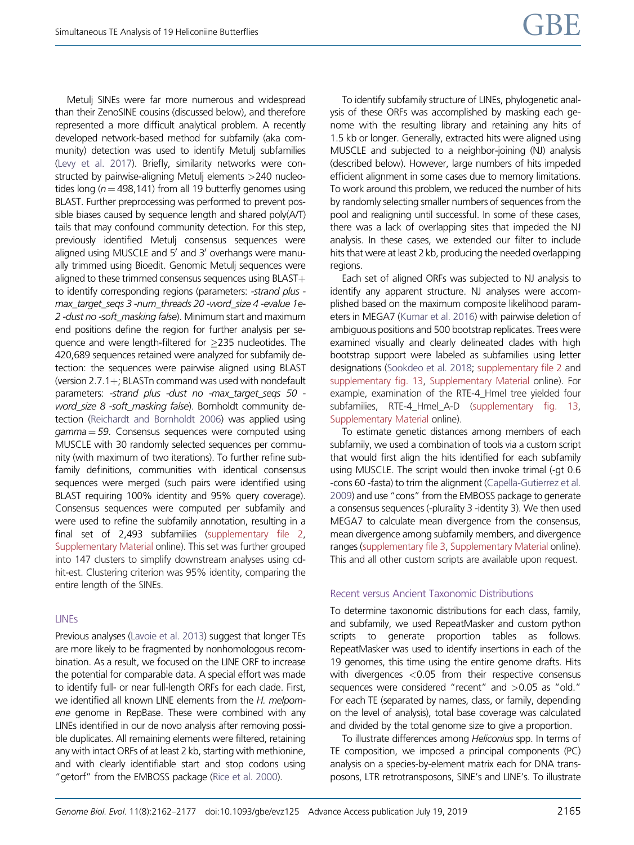Metulj SINEs were far more numerous and widespread than their ZenoSINE cousins (discussed below), and therefore represented a more difficult analytical problem. A recently developed network-based method for subfamily (aka community) detection was used to identify Metulj subfamilies [\(Levy et al. 2017\)](#page-14-0). Briefly, similarity networks were constructed by pairwise-aligning Metulj elements >240 nucleotides long ( $n = 498.141$ ) from all 19 butterfly genomes using BLAST. Further preprocessing was performed to prevent possible biases caused by sequence length and shared poly(A/T) tails that may confound community detection. For this step, previously identified Metulj consensus sequences were aligned using MUSCLE and 5' and 3' overhangs were manually trimmed using Bioedit. Genomic Metulj sequences were aligned to these trimmed consensus sequences using BLAST $+$ to identify corresponding regions (parameters: -strand plus max\_target\_seqs 3 -num\_threads 20 -word\_size 4 -evalue 1e-2-dust no-soft\_masking false). Minimum start and maximum end positions define the region for further analysis per sequence and were length-filtered for 235 nucleotides. The 420,689 sequences retained were analyzed for subfamily detection: the sequences were pairwise aligned using BLAST (version  $2.7.1+$ ; BLASTn command was used with nondefault parameters: -strand plus -dust no -max target segs 50 word\_size 8 -soft\_masking false). Bornholdt community detection [\(Reichardt and Bornholdt 2006\)](#page-15-0) was applied using  $gamma = 59$ . Consensus sequences were computed using MUSCLE with 30 randomly selected sequences per community (with maximum of two iterations). To further refine subfamily definitions, communities with identical consensus sequences were merged (such pairs were identified using BLAST requiring 100% identity and 95% query coverage). Consensus sequences were computed per subfamily and were used to refine the subfamily annotation, resulting in a final set of 2,493 subfamilies [\(supplementary file 2,](https://academic.oup.com/gbe/article-lookup/doi/10.1093/gbe/evz125#supplementary-data) [Supplementary Material](https://academic.oup.com/gbe/article-lookup/doi/10.1093/gbe/evz125#supplementary-data) online). This set was further grouped into 147 clusters to simplify downstream analyses using cdhit-est. Clustering criterion was 95% identity, comparing the entire length of the SINEs.

# LINEs

Previous analyses [\(Lavoie et al. 2013\)](#page-14-0) suggest that longer TEs are more likely to be fragmented by nonhomologous recombination. As a result, we focused on the LINE ORF to increase the potential for comparable data. A special effort was made to identify full- or near full-length ORFs for each clade. First, we identified all known LINE elements from the H. melpomene genome in RepBase. These were combined with any LINEs identified in our de novo analysis after removing possible duplicates. All remaining elements were filtered, retaining any with intact ORFs of at least 2 kb, starting with methionine, and with clearly identifiable start and stop codons using "getorf" from the EMBOSS package [\(Rice et al. 2000\)](#page-15-0).

To identify subfamily structure of LINEs, phylogenetic analysis of these ORFs was accomplished by masking each genome with the resulting library and retaining any hits of 1.5 kb or longer. Generally, extracted hits were aligned using MUSCLE and subjected to a neighbor-joining (NJ) analysis (described below). However, large numbers of hits impeded efficient alignment in some cases due to memory limitations. To work around this problem, we reduced the number of hits by randomly selecting smaller numbers of sequences from the pool and realigning until successful. In some of these cases, there was a lack of overlapping sites that impeded the NJ analysis. In these cases, we extended our filter to include hits that were at least 2 kb, producing the needed overlapping regions.

Each set of aligned ORFs was subjected to NJ analysis to identify any apparent structure. NJ analyses were accomplished based on the maximum composite likelihood parameters in MEGA7 [\(Kumar et al. 2016\)](#page-14-0) with pairwise deletion of ambiguous positions and 500 bootstrap replicates. Trees were examined visually and clearly delineated clades with high bootstrap support were labeled as subfamilies using letter designations [\(Sookdeo et al. 2018](#page-15-0); [supplementary file 2](https://academic.oup.com/gbe/article-lookup/doi/10.1093/gbe/evz125#supplementary-data) and [supplementary fig. 13,](https://academic.oup.com/gbe/article-lookup/doi/10.1093/gbe/evz125#supplementary-data) [Supplementary Material](https://academic.oup.com/gbe/article-lookup/doi/10.1093/gbe/evz125#supplementary-data) online). For example, examination of the RTE-4\_Hmel tree yielded four subfamilies, RTE-4\_Hmel\_A-D [\(supplementary fig. 13](https://academic.oup.com/gbe/article-lookup/doi/10.1093/gbe/evz125#supplementary-data), [Supplementary Material](https://academic.oup.com/gbe/article-lookup/doi/10.1093/gbe/evz125#supplementary-data) online).

To estimate genetic distances among members of each subfamily, we used a combination of tools via a custom script that would first align the hits identified for each subfamily using MUSCLE. The script would then invoke trimal (-gt 0.6 -cons 60 -fasta) to trim the alignment ([Capella-Gutierrez et al.](#page-13-0) [2009\)](#page-13-0) and use "cons" from the EMBOSS package to generate a consensus sequences (-plurality 3 -identity 3). We then used MEGA7 to calculate mean divergence from the consensus, mean divergence among subfamily members, and divergence ranges ([supplementary file 3,](https://academic.oup.com/gbe/article-lookup/doi/10.1093/gbe/evz125#supplementary-data) [Supplementary Material](https://academic.oup.com/gbe/article-lookup/doi/10.1093/gbe/evz125#supplementary-data) online). This and all other custom scripts are available upon request.

#### Recent versus Ancient Taxonomic Distributions

To determine taxonomic distributions for each class, family, and subfamily, we used RepeatMasker and custom python scripts to generate proportion tables as follows. RepeatMasker was used to identify insertions in each of the 19 genomes, this time using the entire genome drafts. Hits with divergences <0.05 from their respective consensus sequences were considered "recent" and >0.05 as "old." For each TE (separated by names, class, or family, depending on the level of analysis), total base coverage was calculated and divided by the total genome size to give a proportion.

To illustrate differences among Heliconius spp. In terms of TE composition, we imposed a principal components (PC) analysis on a species-by-element matrix each for DNA transposons, LTR retrotransposons, SINE's and LINE's. To illustrate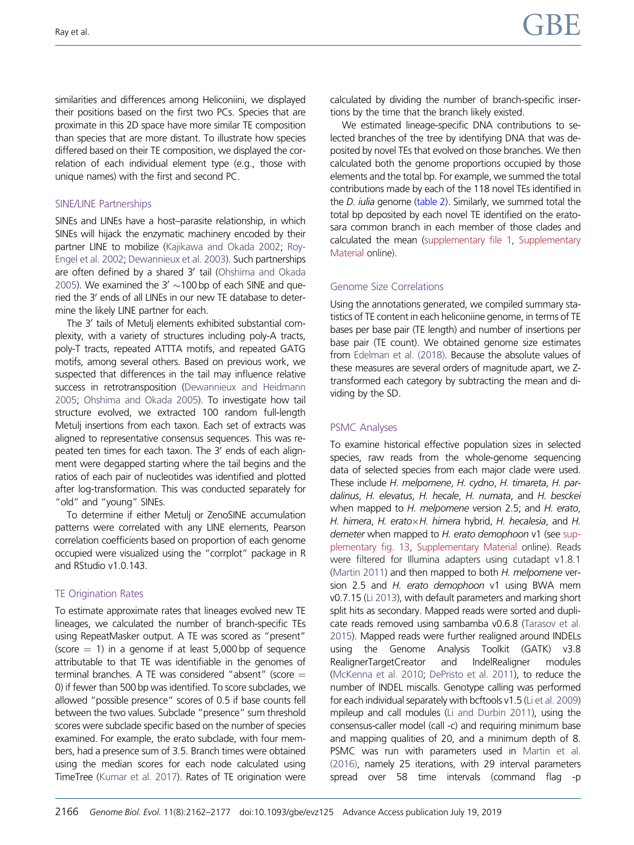similarities and differences among Heliconiini, we displayed their positions based on the first two PCs. Species that are proximate in this 2D space have more similar TE composition than species that are more distant. To illustrate how species differed based on their TE composition, we displayed the correlation of each individual element type (e.g., those with unique names) with the first and second PC.

# SINE/LINE Partnerships

SINEs and LINEs have a host–parasite relationship, in which SINEs will hijack the enzymatic machinery encoded by their partner LINE to mobilize [\(Kajikawa and Okada 2002](#page-14-0); [Roy-](#page-15-0)[Engel et al. 2002](#page-15-0); [Dewannieux et al. 2003](#page-14-0)). Such partnerships are often defined by a shared 3' tail [\(Ohshima and Okada](#page-15-0) [2005](#page-15-0)). We examined the  $3' \sim 100$  bp of each SINE and queried the 3' ends of all LINEs in our new TE database to determine the likely LINE partner for each.

The 3' tails of Metulj elements exhibited substantial complexity, with a variety of structures including poly-A tracts, poly-T tracts, repeated ATTTA motifs, and repeated GATG motifs, among several others. Based on previous work, we suspected that differences in the tail may influence relative success in retrotransposition ([Dewannieux and Heidmann](#page-14-0) [2005;](#page-14-0) [Ohshima and Okada 2005](#page-15-0)). To investigate how tail structure evolved, we extracted 100 random full-length Metulj insertions from each taxon. Each set of extracts was aligned to representative consensus sequences. This was repeated ten times for each taxon. The 3' ends of each alignment were degapped starting where the tail begins and the ratios of each pair of nucleotides was identified and plotted after log-transformation. This was conducted separately for "old" and "young" SINEs.

To determine if either Metulj or ZenoSINE accumulation patterns were correlated with any LINE elements, Pearson correlation coefficients based on proportion of each genome occupied were visualized using the "corrplot" package in R and RStudio v1.0.143.

# TE Origination Rates

To estimate approximate rates that lineages evolved new TE lineages, we calculated the number of branch-specific TEs using RepeatMasker output. A TE was scored as "present" (score  $= 1$ ) in a genome if at least 5,000 bp of sequence attributable to that TE was identifiable in the genomes of terminal branches. A TE was considered "absent" (score  $=$ 0) if fewer than 500 bp was identified. To score subclades, we allowed "possible presence" scores of 0.5 if base counts fell between the two values. Subclade "presence" sum threshold scores were subclade specific based on the number of species examined. For example, the erato subclade, with four members, had a presence sum of 3.5. Branch times were obtained using the median scores for each node calculated using TimeTree [\(Kumar et al. 2017](#page-14-0)). Rates of TE origination were calculated by dividing the number of branch-specific insertions by the time that the branch likely existed.

We estimated lineage-specific DNA contributions to selected branches of the tree by identifying DNA that was deposited by novel TEs that evolved on those branches. We then calculated both the genome proportions occupied by those elements and the total bp. For example, we summed the total contributions made by each of the 118 novel TEs identified in the *D. iulia* genome ([table 2](#page-8-0)). Similarly, we summed total the total bp deposited by each novel TE identified on the eratosara common branch in each member of those clades and calculated the mean [\(supplementary file 1,](https://academic.oup.com/gbe/article-lookup/doi/10.1093/gbe/evz125#supplementary-data) [Supplementary](https://academic.oup.com/gbe/article-lookup/doi/10.1093/gbe/evz125#supplementary-data) [Material](https://academic.oup.com/gbe/article-lookup/doi/10.1093/gbe/evz125#supplementary-data) online).

# Genome Size Correlations

Using the annotations generated, we compiled summary statistics of TE content in each heliconiine genome, in terms of TE bases per base pair (TE length) and number of insertions per base pair (TE count). We obtained genome size estimates from [Edelman et al. \(2018\).](#page-14-0) Because the absolute values of these measures are several orders of magnitude apart, we Ztransformed each category by subtracting the mean and dividing by the SD.

# PSMC Analyses

To examine historical effective population sizes in selected species, raw reads from the whole-genome sequencing data of selected species from each major clade were used. These include H. melpomene, H. cydno, H. timareta, H. pardalinus, H. elevatus, H. hecale, H. numata, and H. besckei when mapped to H. melpomene version 2.5; and H. erato, H. himera, H. erato $\times$ H. himera hybrid, H. hecalesia, and H. demeter when mapped to H. erato demophoon v1 (see [sup](https://academic.oup.com/gbe/article-lookup/doi/10.1093/gbe/evz125#supplementary-data)[plementary fig. 13,](https://academic.oup.com/gbe/article-lookup/doi/10.1093/gbe/evz125#supplementary-data) [Supplementary Material](https://academic.oup.com/gbe/article-lookup/doi/10.1093/gbe/evz125#supplementary-data) online). Reads were filtered for Illumina adapters using cutadapt v1.8.1 [\(Martin 2011](#page-14-0)) and then mapped to both H. melpomene version 2.5 and H. erato demophoon v1 using BWA mem v0.7.15 [\(Li 2013\)](#page-14-0), with default parameters and marking short split hits as secondary. Mapped reads were sorted and duplicate reads removed using sambamba v0.6.8 [\(Tarasov et al.](#page-15-0) [2015\)](#page-15-0). Mapped reads were further realigned around INDELs using the Genome Analysis Toolkit (GATK) v3.8 RealignerTargetCreator and IndelRealigner modules [\(McKenna et al. 2010;](#page-14-0) [DePristo et al. 2011\)](#page-14-0), to reduce the number of INDEL miscalls. Genotype calling was performed for each individual separately with bcftools v1.5 [\(Li et al. 2009](#page-14-0)) mpileup and call modules [\(Li and Durbin 2011\)](#page-14-0), using the consensus-caller model (call -c) and requiring minimum base and mapping qualities of 20, and a minimum depth of 8. PSMC was run with parameters used in [Martin et al.](#page-14-0) [\(2016\),](#page-14-0) namely 25 iterations, with 29 interval parameters spread over 58 time intervals (command flag -p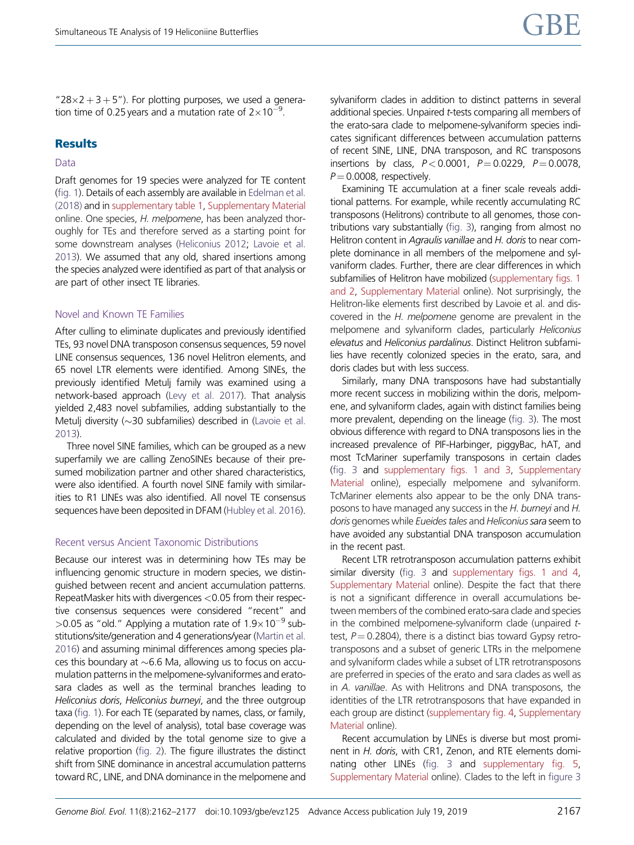" $28\times2+3+5$ "). For plotting purposes, we used a generation time of 0.25 years and a mutation rate of  $2\times10^{-9}$ .

#### **Results**

#### Data

Draft genomes for 19 species were analyzed for TE content [\(fig. 1\)](#page-2-0). Details of each assembly are available in [Edelman et al.](#page-14-0) [\(2018\)](#page-14-0) and in [supplementary table 1,](https://academic.oup.com/gbe/article-lookup/doi/10.1093/gbe/evz125#supplementary-data) [Supplementary Material](https://academic.oup.com/gbe/article-lookup/doi/10.1093/gbe/evz125#supplementary-data) online. One species, H. melpomene, has been analyzed thoroughly for TEs and therefore served as a starting point for some downstream analyses [\(Heliconius 2012](#page-14-0); [Lavoie et al.](#page-14-0) [2013](#page-14-0)). We assumed that any old, shared insertions among the species analyzed were identified as part of that analysis or are part of other insect TE libraries.

#### Novel and Known TE Families

After culling to eliminate duplicates and previously identified TEs, 93 novel DNA transposon consensus sequences, 59 novel LINE consensus sequences, 136 novel Helitron elements, and 65 novel LTR elements were identified. Among SINEs, the previously identified Metulj family was examined using a network-based approach [\(Levy et al. 2017](#page-14-0)). That analysis yielded 2,483 novel subfamilies, adding substantially to the Metulj diversity (~30 subfamilies) described in ([Lavoie et al.](#page-14-0) [2013](#page-14-0)).

Three novel SINE families, which can be grouped as a new superfamily we are calling ZenoSINEs because of their presumed mobilization partner and other shared characteristics, were also identified. A fourth novel SINE family with similarities to R1 LINEs was also identified. All novel TE consensus sequences have been deposited in DFAM ([Hubley et al. 2016](#page-14-0)).

#### Recent versus Ancient Taxonomic Distributions

Because our interest was in determining how TEs may be influencing genomic structure in modern species, we distinguished between recent and ancient accumulation patterns. RepeatMasker hits with divergences <0.05 from their respective consensus sequences were considered "recent" and >0.05 as "old." Applying a mutation rate of  $1.9\times10^{-9}$  substitutions/site/generation and 4 generations/year ([Martin et al.](#page-14-0) [2016](#page-14-0)) and assuming minimal differences among species places this boundary at  ${\sim}6.6$  Ma, allowing us to focus on accumulation patterns in the melpomene-sylvaniformes and eratosara clades as well as the terminal branches leading to Heliconius doris, Heliconius burneyi, and the three outgroup taxa ([fig. 1](#page-2-0)). For each TE (separated by names, class, or family, depending on the level of analysis), total base coverage was calculated and divided by the total genome size to give a relative proportion [\(fig. 2](#page-6-0)). The figure illustrates the distinct shift from SINE dominance in ancestral accumulation patterns toward RC, LINE, and DNA dominance in the melpomene and sylvaniform clades in addition to distinct patterns in several additional species. Unpaired t-tests comparing all members of the erato-sara clade to melpomene-sylvaniform species indicates significant differences between accumulation patterns of recent SINE, LINE, DNA transposon, and RC transposons insertions by class,  $P < 0.0001$ ,  $P = 0.0229$ ,  $P = 0.0078$ ,  $P = 0.0008$ , respectively.

Examining TE accumulation at a finer scale reveals additional patterns. For example, while recently accumulating RC transposons (Helitrons) contribute to all genomes, those contributions vary substantially [\(fig. 3\)](#page-7-0), ranging from almost no Helitron content in Agraulis vanillae and H. doris to near complete dominance in all members of the melpomene and sylvaniform clades. Further, there are clear differences in which subfamilies of Helitron have mobilized ([supplementary figs. 1](https://academic.oup.com/gbe/article-lookup/doi/10.1093/gbe/evz125#supplementary-data)) [and 2](https://academic.oup.com/gbe/article-lookup/doi/10.1093/gbe/evz125#supplementary-data), [Supplementary Material](https://academic.oup.com/gbe/article-lookup/doi/10.1093/gbe/evz125#supplementary-data) online). Not surprisingly, the Helitron-like elements first described by Lavoie et al. and discovered in the H. melpomene genome are prevalent in the melpomene and sylvaniform clades, particularly Heliconius elevatus and Heliconius pardalinus. Distinct Helitron subfamilies have recently colonized species in the erato, sara, and doris clades but with less success.

Similarly, many DNA transposons have had substantially more recent success in mobilizing within the doris, melpomene, and sylvaniform clades, again with distinct families being more prevalent, depending on the lineage ([fig. 3](#page-7-0)). The most obvious difference with regard to DNA transposons lies in the increased prevalence of PIF-Harbinger, piggyBac, hAT, and most TcMariner superfamily transposons in certain clades [\(fig. 3](#page-7-0) and [supplementary figs. 1 and 3,](https://academic.oup.com/gbe/article-lookup/doi/10.1093/gbe/evz125#supplementary-data) [Supplementary](https://academic.oup.com/gbe/article-lookup/doi/10.1093/gbe/evz125#supplementary-data) [Material](https://academic.oup.com/gbe/article-lookup/doi/10.1093/gbe/evz125#supplementary-data) online), especially melpomene and sylvaniform. TcMariner elements also appear to be the only DNA transposons to have managed any success in the H. burneyi and H. doris genomes while Eueides tales and Heliconius sara seem to have avoided any substantial DNA transposon accumulation in the recent past.

Recent LTR retrotransposon accumulation patterns exhibit similar diversity [\(fig. 3](#page-7-0) and [supplementary figs. 1 and 4](https://academic.oup.com/gbe/article-lookup/doi/10.1093/gbe/evz125#supplementary-data), [Supplementary Material](https://academic.oup.com/gbe/article-lookup/doi/10.1093/gbe/evz125#supplementary-data) online). Despite the fact that there is not a significant difference in overall accumulations between members of the combined erato-sara clade and species in the combined melpomene-sylvaniform clade (unpaired ttest,  $P = 0.2804$ ), there is a distinct bias toward Gypsy retrotransposons and a subset of generic LTRs in the melpomene and sylvaniform clades while a subset of LTR retrotransposons are preferred in species of the erato and sara clades as well as in A. vanillae. As with Helitrons and DNA transposons, the identities of the LTR retrotransposons that have expanded in each group are distinct [\(supplementary fig. 4,](https://academic.oup.com/gbe/article-lookup/doi/10.1093/gbe/evz125#supplementary-data) [Supplementary](https://academic.oup.com/gbe/article-lookup/doi/10.1093/gbe/evz125#supplementary-data) [Material](https://academic.oup.com/gbe/article-lookup/doi/10.1093/gbe/evz125#supplementary-data) online).

Recent accumulation by LINEs is diverse but most prominent in H. doris, with CR1, Zenon, and RTE elements dominating other LINEs [\(fig. 3](#page-7-0) and [supplementary fig. 5](https://academic.oup.com/gbe/article-lookup/doi/10.1093/gbe/evz125#supplementary-data), [Supplementary Material](https://academic.oup.com/gbe/article-lookup/doi/10.1093/gbe/evz125#supplementary-data) online). Clades to the left in [figure 3](#page-7-0)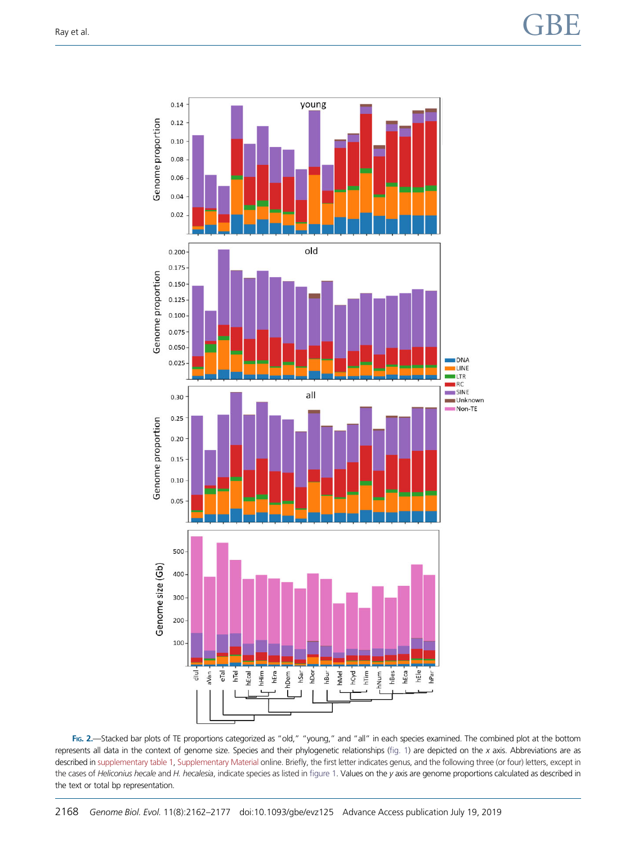<span id="page-6-0"></span>

FIG. 2.—Stacked bar plots of TE proportions categorized as "old," "young," and "all" in each species examined. The combined plot at the bottom represents all data in the context of genome size. Species and their phylogenetic relationships [\(fig. 1\)](#page-2-0) are depicted on the x axis. Abbreviations are as described in [supplementary table 1,](https://academic.oup.com/gbe/article-lookup/doi/10.1093/gbe/evz125#supplementary-data) [Supplementary Material](https://academic.oup.com/gbe/article-lookup/doi/10.1093/gbe/evz125#supplementary-data) online. Briefly, the first letter indicates genus, and the following three (or four) letters, except in the cases of Heliconius hecale and H. hecalesia, indicate species as listed in [figure 1](#page-2-0). Values on the y axis are genome proportions calculated as described in the text or total bp representation.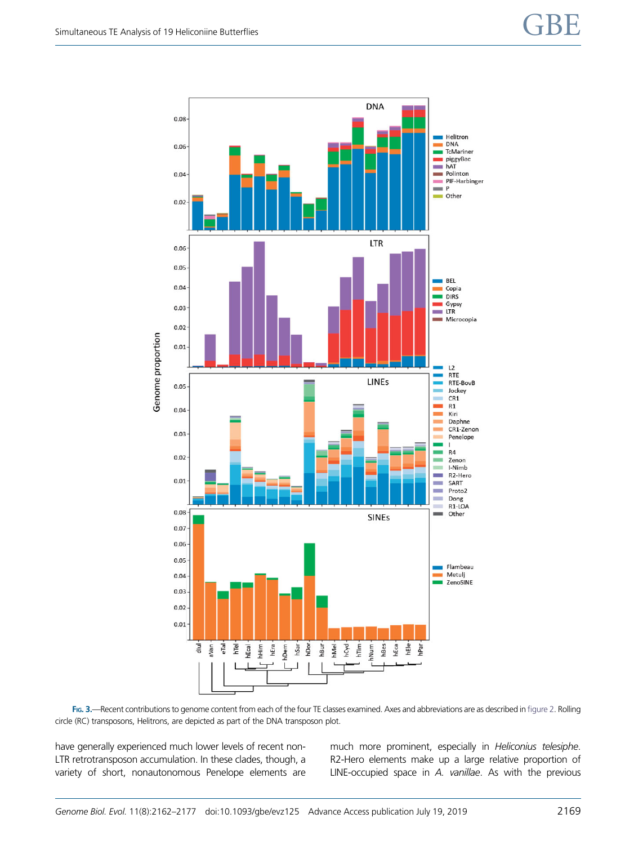<span id="page-7-0"></span>

FIG. 3.—Recent contributions to genome content from each of the four TE classes examined. Axes and abbreviations are as described in [figure 2.](#page-6-0) Rolling circle (RC) transposons, Helitrons, are depicted as part of the DNA transposon plot.

have generally experienced much lower levels of recent non-LTR retrotransposon accumulation. In these clades, though, a variety of short, nonautonomous Penelope elements are much more prominent, especially in Heliconius telesiphe. R2-Hero elements make up a large relative proportion of LINE-occupied space in A. vanillae. As with the previous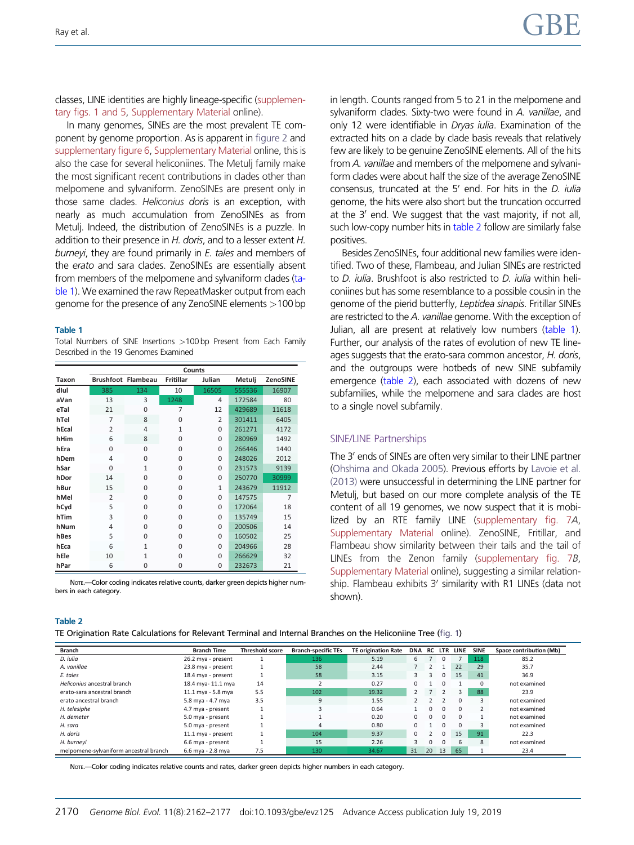<span id="page-8-0"></span>classes, LINE identities are highly lineage-specific [\(supplemen](https://academic.oup.com/gbe/article-lookup/doi/10.1093/gbe/evz125#supplementary-data)[tary figs. 1 and 5](https://academic.oup.com/gbe/article-lookup/doi/10.1093/gbe/evz125#supplementary-data), [Supplementary Material](https://academic.oup.com/gbe/article-lookup/doi/10.1093/gbe/evz125#supplementary-data) online).

In many genomes, SINEs are the most prevalent TE component by genome proportion. As is apparent in [figure 2](#page-6-0) and [supplementary figure 6](https://academic.oup.com/gbe/article-lookup/doi/10.1093/gbe/evz125#supplementary-data), [Supplementary Material](https://academic.oup.com/gbe/article-lookup/doi/10.1093/gbe/evz125#supplementary-data) online, this is also the case for several heliconiines. The Metulj family make the most significant recent contributions in clades other than melpomene and sylvaniform. ZenoSINEs are present only in those same clades. Heliconius doris is an exception, with nearly as much accumulation from ZenoSINEs as from Metulj. Indeed, the distribution of ZenoSINEs is a puzzle. In addition to their presence in H. doris, and to a lesser extent H. burnevi, they are found primarily in E. tales and members of the erato and sara clades. ZenoSINEs are essentially absent from members of the melpomene and sylvaniform clades (table 1). We examined the raw RepeatMasker output from each genome for the presence of any ZenoSINE elements >100 bp

#### Table 1

Total Numbers of SINE Insertions >100 bp Present from Each Family Described in the 19 Genomes Examined

|       | <b>Counts</b>             |                |              |                |        |                 |  |  |  |  |
|-------|---------------------------|----------------|--------------|----------------|--------|-----------------|--|--|--|--|
| Taxon | <b>Brushfoot Flambeau</b> |                | Fritillar    | Julian         | Metulj | <b>ZenoSINE</b> |  |  |  |  |
| dlul  | 385                       | 134            | 10           | 16505          | 555536 | 16907           |  |  |  |  |
| aVan  | 13                        | 3              | 1248         | 4              | 172584 | 80              |  |  |  |  |
| eTal  | 21                        | $\Omega$       | 7            | 12             | 429689 | 11618           |  |  |  |  |
| hTel  | 7                         | 8              | 0            | $\overline{2}$ | 301411 | 6405            |  |  |  |  |
| hEcal | $\overline{2}$            | $\overline{4}$ | $\mathbf{1}$ | $\Omega$       | 261271 | 4172            |  |  |  |  |
| hHim  | 6                         | 8              | $\Omega$     | $\Omega$       | 280969 | 1492            |  |  |  |  |
| hEra  | 0                         | $\Omega$       | $\Omega$     | $\Omega$       | 266446 | 1440            |  |  |  |  |
| hDem  | 4                         | $\Omega$       | $\Omega$     | $\Omega$       | 248026 | 2012            |  |  |  |  |
| hSar  | 0                         | 1              | 0            | $\Omega$       | 231573 | 9139            |  |  |  |  |
| hDor  | 14                        | $\Omega$       | $\Omega$     | $\Omega$       | 250770 | 30999           |  |  |  |  |
| hBur  | 15                        | $\Omega$       | 0            | $\mathbf{1}$   | 243679 | 11912           |  |  |  |  |
| hMel  | 2                         | $\Omega$       | 0            | $\Omega$       | 147575 | 7               |  |  |  |  |
| hCyd  | 5                         | $\Omega$       | 0            | $\Omega$       | 172064 | 18              |  |  |  |  |
| hTim  | 3                         | $\Omega$       | $\Omega$     | $\Omega$       | 135749 | 15              |  |  |  |  |
| hNum  | 4                         | $\Omega$       | $\Omega$     | $\Omega$       | 200506 | 14              |  |  |  |  |
| hBes  | 5                         | $\Omega$       | $\Omega$     | $\Omega$       | 160502 | 25              |  |  |  |  |
| hEca  | 6                         | $\mathbf{1}$   | 0            | $\Omega$       | 204966 | 28              |  |  |  |  |
| hEle  | 10                        | 1              | 0            | $\Omega$       | 266629 | 32              |  |  |  |  |
| hPar  | 6                         | 0              | 0            | $\Omega$       | 232673 | 21              |  |  |  |  |

NOTE.-Color coding indicates relative counts, darker green depicts higher numbers in each category.

in length. Counts ranged from 5 to 21 in the melpomene and sylvaniform clades. Sixty-two were found in A. vanillae, and only 12 were identifiable in Dryas iulia. Examination of the extracted hits on a clade by clade basis reveals that relatively few are likely to be genuine ZenoSINE elements. All of the hits from A. vanillae and members of the melpomene and sylvaniform clades were about half the size of the average ZenoSINE consensus, truncated at the  $5'$  end. For hits in the D. *julia* genome, the hits were also short but the truncation occurred at the  $3'$  end. We suggest that the vast majority, if not all, such low-copy number hits in table 2 follow are similarly false positives.

Besides ZenoSINEs, four additional new families were identified. Two of these, Flambeau, and Julian SINEs are restricted to D. iulia. Brushfoot is also restricted to D. iulia within heliconiines but has some resemblance to a possible cousin in the genome of the pierid butterfly, Leptidea sinapis. Fritillar SINEs are restricted to the A. vanillae genome. With the exception of Julian, all are present at relatively low numbers (table 1). Further, our analysis of the rates of evolution of new TE lineages suggests that the erato-sara common ancestor, H. doris, and the outgroups were hotbeds of new SINE subfamily emergence (table 2), each associated with dozens of new subfamilies, while the melpomene and sara clades are host to a single novel subfamily.

#### SINE/LINE Partnerships

The 3' ends of SINEs are often very similar to their LINE partner [\(Ohshima and Okada 2005](#page-15-0)). Previous efforts by [Lavoie et al.](#page-14-0) [\(2013\)](#page-14-0) were unsuccessful in determining the LINE partner for Metulj, but based on our more complete analysis of the TE content of all 19 genomes, we now suspect that it is mobilized by an RTE family LINE ([supplementary fig. 7](https://academic.oup.com/gbe/article-lookup/doi/10.1093/gbe/evz125#supplementary-data)A, [Supplementary Material](https://academic.oup.com/gbe/article-lookup/doi/10.1093/gbe/evz125#supplementary-data) online). ZenoSINE, Fritillar, and Flambeau show similarity between their tails and the tail of LINEs from the Zenon family [\(supplementary fig. 7](https://academic.oup.com/gbe/article-lookup/doi/10.1093/gbe/evz125#supplementary-data)B, [Supplementary Material](https://academic.oup.com/gbe/article-lookup/doi/10.1093/gbe/evz125#supplementary-data) online), suggesting a similar relationship. Flambeau exhibits  $3'$  similarity with R1 LINEs (data not shown).

#### Table 2

TE Origination Rate Calculations for Relevant Terminal and Internal Branches on the Heliconiine Tree [\(fig. 1](#page-2-0))

| Branch                                 | <b>Branch Time</b> | <b>Threshold score</b> | <b>Branch-specific TEs</b> | <b>TE origination Rate</b> | <b>DNA</b> |          | <b>RC LTR</b> | LINE     | <b>SINE</b> | Space contribution (Mb) |
|----------------------------------------|--------------------|------------------------|----------------------------|----------------------------|------------|----------|---------------|----------|-------------|-------------------------|
| D. iulia                               | 26.2 mya - present |                        | 136                        | 5.19                       | 6          |          |               |          | 118         | 85.2                    |
| A. vanillae                            | 23.8 mya - present |                        | 58                         | 2.44                       |            |          |               | 22       | 29          | 35.7                    |
| E. tales                               | 18.4 mya - present |                        | 58                         | 3.15                       | 3          | 3        |               | 15       | 41          | 36.9                    |
| Heliconius ancestral branch            | 18.4 mya-11.1 mya  | 14                     |                            | 0.27                       | $\Omega$   |          |               |          |             | not examined            |
| erato-sara ancestral branch            | 11.1 mya - 5.8 mya | 5.5                    | 102                        | 19.32                      | 2          |          |               | 3        | 88          | 23.9                    |
| erato ancestral branch                 | 5.8 mya - 4.7 mya  | 3.5                    | 9                          | 1.55                       |            |          |               | $\Omega$ |             | not examined            |
| H. telesiphe                           | 4.7 mya - present  |                        |                            | 0.64                       |            | $\Omega$ | $\Omega$      | $\Omega$ |             | not examined            |
| H. demeter                             | 5.0 mya - present  |                        |                            | 0.20                       | $\Omega$   | $\Omega$ |               | $\Omega$ |             | not examined            |
| H. sara                                | 5.0 mya - present  |                        |                            | 0.80                       | $\Omega$   |          |               | $\Omega$ |             | not examined            |
| H. doris                               | 11.1 mya - present |                        | 104                        | 9.37                       | $\Omega$   |          | $\Omega$      | 15       | 91          | 22.3                    |
| H. burneyi                             | 6.6 mya - present  |                        | 15                         | 2.26                       | 3          | 0        |               | 6        | 8           | not examined            |
| melpomene-sylvaniform ancestral branch | 6.6 mya - 2.8 mya  | 7.5                    | 130                        | 34.67                      | 31         | 20       | 13            | 65       |             | 23.4                    |

NOTE.—Color coding indicates relative counts and rates, darker green depicts higher numbers in each category.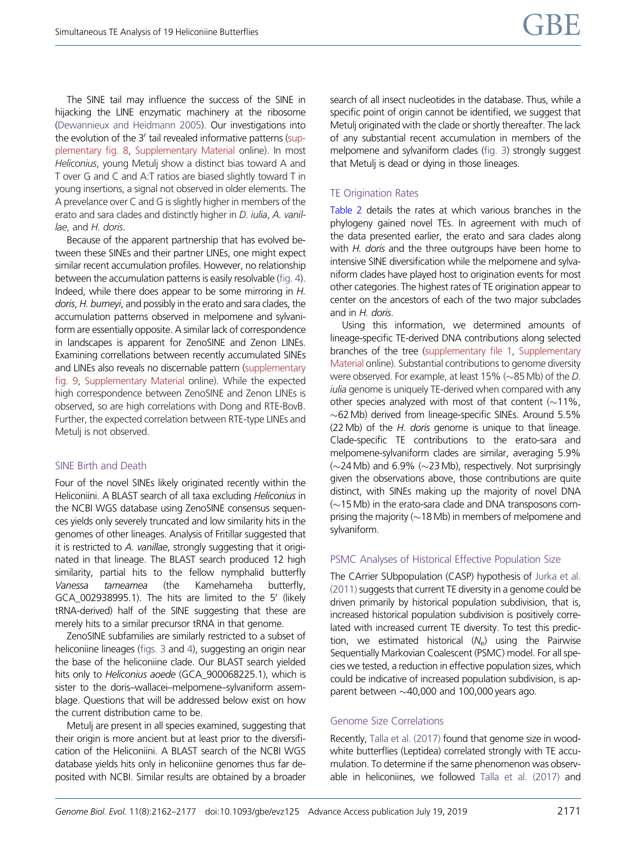The SINE tail may influence the success of the SINE in hijacking the LINE enzymatic machinery at the ribosome [\(Dewannieux and Heidmann 2005](#page-14-0)). Our investigations into the evolution of the 3' tail revealed informative patterns ([sup](https://academic.oup.com/gbe/article-lookup/doi/10.1093/gbe/evz125#supplementary-data)[plementary fig. 8,](https://academic.oup.com/gbe/article-lookup/doi/10.1093/gbe/evz125#supplementary-data) [Supplementary Material](https://academic.oup.com/gbe/article-lookup/doi/10.1093/gbe/evz125#supplementary-data) online). In most Heliconius, young Metulj show a distinct bias toward A and T over G and C and A:T ratios are biased slightly toward T in young insertions, a signal not observed in older elements. The A prevelance over C and G is slightly higher in members of the erato and sara clades and distinctly higher in *D. iulia*, *A. vanil*lae, and H. doris.

Because of the apparent partnership that has evolved between these SINEs and their partner LINEs, one might expect similar recent accumulation profiles. However, no relationship between the accumulation patterns is easily resolvable ([fig. 4](#page-10-0)). Indeed, while there does appear to be some mirroring in H. doris, H. burneyi, and possibly in the erato and sara clades, the accumulation patterns observed in melpomene and sylvaniform are essentially opposite. A similar lack of correspondence in landscapes is apparent for ZenoSINE and Zenon LINEs. Examining correllations between recently accumulated SINEs and LINEs also reveals no discernable pattern [\(supplementary](https://academic.oup.com/gbe/article-lookup/doi/10.1093/gbe/evz125#supplementary-data) [fig. 9](https://academic.oup.com/gbe/article-lookup/doi/10.1093/gbe/evz125#supplementary-data), [Supplementary Material](https://academic.oup.com/gbe/article-lookup/doi/10.1093/gbe/evz125#supplementary-data) online). While the expected high correspondence between ZenoSINE and Zenon LINEs is observed, so are high correlations with Dong and RTE-BovB. Further, the expected correlation between RTE-type LINEs and Metulj is not observed.

# SINE Birth and Death

Four of the novel SINEs likely originated recently within the Heliconiini. A BLAST search of all taxa excluding Heliconius in the NCBI WGS database using ZenoSINE consensus sequences yields only severely truncated and low similarity hits in the genomes of other lineages. Analysis of Fritillar suggested that it is restricted to A. vanillae, strongly suggesting that it originated in that lineage. The BLAST search produced 12 high similarity, partial hits to the fellow nymphalid butterfly Vanessa tameamea (the Kamehameha butterfly,  $GCA_002938995.1$ ). The hits are limited to the 5' (likely tRNA-derived) half of the SINE suggesting that these are merely hits to a similar precursor tRNA in that genome.

ZenoSINE subfamilies are similarly restricted to a subset of heliconiine lineages ([figs. 3](#page-7-0) and [4\)](#page-10-0), suggesting an origin near the base of the heliconiine clade. Our BLAST search yielded hits only to Heliconius aoede (GCA\_900068225.1), which is sister to the doris–wallacei–melpomene–sylvaniform assemblage. Questions that will be addressed below exist on how the current distribution came to be.

Metulj are present in all species examined, suggesting that their origin is more ancient but at least prior to the diversification of the Heliconiini. A BLAST search of the NCBI WGS database yields hits only in heliconiine genomes thus far deposited with NCBI. Similar results are obtained by a broader search of all insect nucleotides in the database. Thus, while a specific point of origin cannot be identified, we suggest that Metulj originated with the clade or shortly thereafter. The lack of any substantial recent accumulation in members of the melpomene and sylvaniform clades [\(fig. 3](#page-7-0)) strongly suggest that Metulj is dead or dying in those lineages.

# TE Origination Rates

[Table 2](#page-8-0) details the rates at which various branches in the phylogeny gained novel TEs. In agreement with much of the data presented earlier, the erato and sara clades along with H. doris and the three outgroups have been home to intensive SINE diversification while the melpomene and sylvaniform clades have played host to origination events for most other categories. The highest rates of TE origination appear to center on the ancestors of each of the two major subclades and in H. doris.

Using this information, we determined amounts of lineage-specific TE-derived DNA contributions along selected branches of the tree ([supplementary file 1](https://academic.oup.com/gbe/article-lookup/doi/10.1093/gbe/evz125#supplementary-data), [Supplementary](https://academic.oup.com/gbe/article-lookup/doi/10.1093/gbe/evz125#supplementary-data) [Material](https://academic.oup.com/gbe/article-lookup/doi/10.1093/gbe/evz125#supplementary-data) online). Substantial contributions to genome diversity were observed. For example, at least 15% ( $\sim$ 85 Mb) of the D. iulia genome is uniquely TE-derived when compared with any other species analyzed with most of that content  $(\sim 11\%$ ,  $\sim$  62 Mb) derived from lineage-specific SINEs. Around 5.5% (22 Mb) of the H. doris genome is unique to that lineage. Clade-specific TE contributions to the erato-sara and melpomene-sylvaniform clades are similar, averaging 5.9%  $(\sim$ 24 Mb) and 6.9%  $(\sim$ 23 Mb), respectively. Not surprisingly given the observations above, those contributions are quite distinct, with SINEs making up the majority of novel DNA  $(\sim$ 15 Mb) in the erato-sara clade and DNA transposons comprising the majority ( $\sim$  18 Mb) in members of melpomene and sylvaniform.

# PSMC Analyses of Historical Effective Population Size

The CArrier SUbpopulation (CASP) hypothesis of [Jurka et al.](#page-14-0) [\(2011\)](#page-14-0) suggests that current TE diversity in a genome could be driven primarily by historical population subdivision, that is, increased historical population subdivision is positively correlated with increased current TE diversity. To test this prediction, we estimated historical  $(N_e)$  using the Pairwise Sequentially Markovian Coalescent (PSMC) model. For all species we tested, a reduction in effective population sizes, which could be indicative of increased population subdivision, is apparent between  $\sim$  40,000 and 100,000 years ago.

# Genome Size Correlations

Recently, [Talla et al. \(2017\)](#page-15-0) found that genome size in woodwhite butterflies (Leptidea) correlated strongly with TE accumulation. To determine if the same phenomenon was observable in heliconiines, we followed [Talla et al. \(2017\)](#page-15-0) and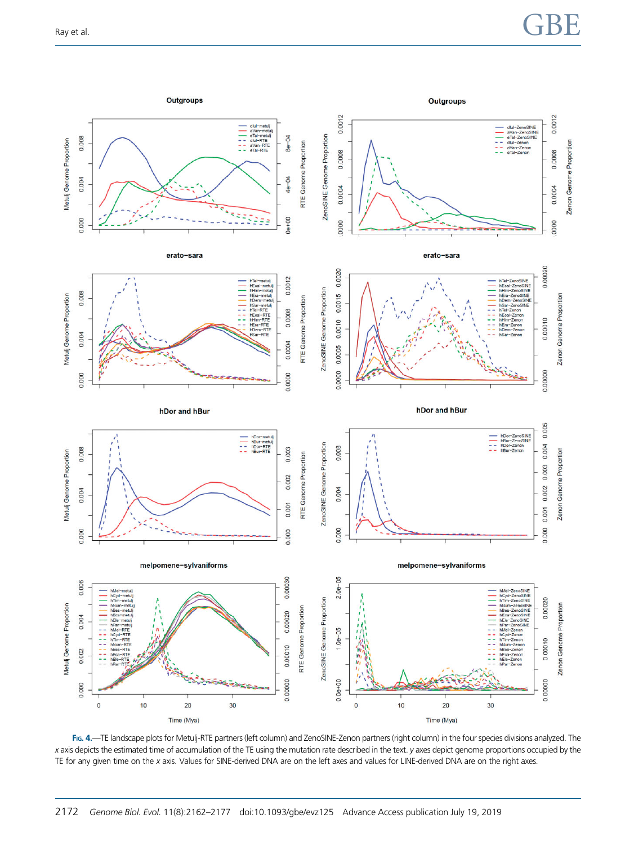# <span id="page-10-0"></span>Ray et al.  $\begin{array}{c}\n\text{GBE}\n\end{array}$



FIG. 4.—TE landscape plots for Metulj-RTE partners (left column) and ZenoSINE-Zenon partners (right column) in the four species divisions analyzed. The x axis depicts the estimated time of accumulation of the TE using the mutation rate described in the text. y axes depict genome proportions occupied by the TE for any given time on the x axis. Values for SINE-derived DNA are on the left axes and values for LINE-derived DNA are on the right axes.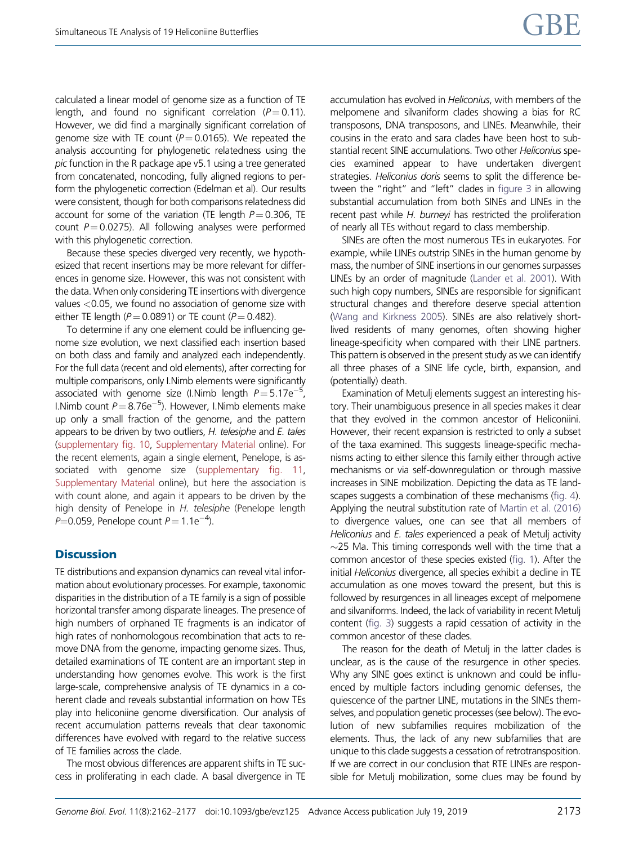calculated a linear model of genome size as a function of TE length, and found no significant correlation  $(P=0.11)$ . However, we did find a marginally significant correlation of genome size with TE count ( $P = 0.0165$ ). We repeated the analysis accounting for phylogenetic relatedness using the pic function in the R package ape v5.1 using a tree generated from concatenated, noncoding, fully aligned regions to perform the phylogenetic correction (Edelman et al). Our results were consistent, though for both comparisons relatedness did account for some of the variation (TE length  $P = 0.306$ , TE count  $P = 0.0275$ ). All following analyses were performed with this phylogenetic correction.

Because these species diverged very recently, we hypothesized that recent insertions may be more relevant for differences in genome size. However, this was not consistent with the data. When only considering TE insertions with divergence values <0.05, we found no association of genome size with either TE length ( $P = 0.0891$ ) or TE count ( $P = 0.482$ ).

To determine if any one element could be influencing genome size evolution, we next classified each insertion based on both class and family and analyzed each independently. For the full data (recent and old elements), after correcting for multiple comparisons, only I.Nimb elements were significantly associated with genome size (I.Nimb length  $P = 5.17e^{-3}$ , I.Nimb count  $P = 8.76e^{-5}$ ). However, I.Nimb elements make up only a small fraction of the genome, and the pattern appears to be driven by two outliers, H. telesiphe and E. tales [\(supplementary fig. 10,](https://academic.oup.com/gbe/article-lookup/doi/10.1093/gbe/evz125#supplementary-data) [Supplementary Material](https://academic.oup.com/gbe/article-lookup/doi/10.1093/gbe/evz125#supplementary-data) online). For the recent elements, again a single element, Penelope, is associated with genome size ([supplementary fig. 11,](https://academic.oup.com/gbe/article-lookup/doi/10.1093/gbe/evz125#supplementary-data) [Supplementary Material](https://academic.oup.com/gbe/article-lookup/doi/10.1093/gbe/evz125#supplementary-data) online), but here the association is with count alone, and again it appears to be driven by the high density of Penelope in H. telesiphe (Penelope length P=0.059, Penelope count P = 1.1e $^{-4}$ ).

# **Discussion**

TE distributions and expansion dynamics can reveal vital information about evolutionary processes. For example, taxonomic disparities in the distribution of a TE family is a sign of possible horizontal transfer among disparate lineages. The presence of high numbers of orphaned TE fragments is an indicator of high rates of nonhomologous recombination that acts to remove DNA from the genome, impacting genome sizes. Thus, detailed examinations of TE content are an important step in understanding how genomes evolve. This work is the first large-scale, comprehensive analysis of TE dynamics in a coherent clade and reveals substantial information on how TEs play into heliconiine genome diversification. Our analysis of recent accumulation patterns reveals that clear taxonomic differences have evolved with regard to the relative success of TE families across the clade.

The most obvious differences are apparent shifts in TE success in proliferating in each clade. A basal divergence in TE accumulation has evolved in Heliconius, with members of the melpomene and silvaniform clades showing a bias for RC transposons, DNA transposons, and LINEs. Meanwhile, their cousins in the erato and sara clades have been host to substantial recent SINE accumulations. Two other Heliconius species examined appear to have undertaken divergent strategies. Heliconius doris seems to split the difference between the "right" and "left" clades in [figure 3](#page-7-0) in allowing substantial accumulation from both SINEs and LINEs in the recent past while H. burneyi has restricted the proliferation of nearly all TEs without regard to class membership.

SINEs are often the most numerous TEs in eukaryotes. For example, while LINEs outstrip SINEs in the human genome by mass, the number of SINE insertions in our genomes surpasses LINEs by an order of magnitude [\(Lander et al. 2001](#page-14-0)). With such high copy numbers, SINEs are responsible for significant structural changes and therefore deserve special attention [\(Wang and Kirkness 2005\)](#page-15-0). SINEs are also relatively shortlived residents of many genomes, often showing higher lineage-specificity when compared with their LINE partners. This pattern is observed in the present study as we can identify all three phases of a SINE life cycle, birth, expansion, and (potentially) death.

Examination of Metulj elements suggest an interesting history. Their unambiguous presence in all species makes it clear that they evolved in the common ancestor of Heliconiini. However, their recent expansion is restricted to only a subset of the taxa examined. This suggests lineage-specific mechanisms acting to either silence this family either through active mechanisms or via self-downregulation or through massive increases in SINE mobilization. Depicting the data as TE landscapes suggests a combination of these mechanisms [\(fig. 4\)](#page-10-0). Applying the neutral substitution rate of [Martin et al. \(2016\)](#page-14-0) to divergence values, one can see that all members of Heliconius and E. tales experienced a peak of Metulj activity  $\sim$ 25 Ma. This timing corresponds well with the time that a common ancestor of these species existed [\(fig. 1](#page-2-0)). After the initial Heliconius divergence, all species exhibit a decline in TE accumulation as one moves toward the present, but this is followed by resurgences in all lineages except of melpomene and silvaniforms. Indeed, the lack of variability in recent Metulj content [\(fig. 3\)](#page-7-0) suggests a rapid cessation of activity in the common ancestor of these clades.

The reason for the death of Metulj in the latter clades is unclear, as is the cause of the resurgence in other species. Why any SINE goes extinct is unknown and could be influenced by multiple factors including genomic defenses, the quiescence of the partner LINE, mutations in the SINEs themselves, and population genetic processes (see below). The evolution of new subfamilies requires mobilization of the elements. Thus, the lack of any new subfamilies that are unique to this clade suggests a cessation of retrotransposition. If we are correct in our conclusion that RTE LINEs are responsible for Metulj mobilization, some clues may be found by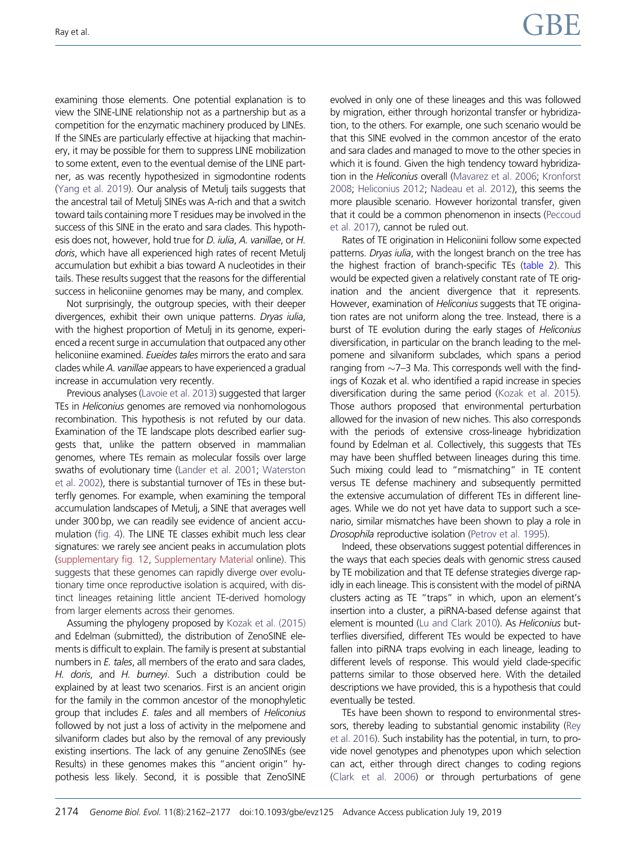examining those elements. One potential explanation is to view the SINE-LINE relationship not as a partnership but as a competition for the enzymatic machinery produced by LINEs. If the SINEs are particularly effective at hijacking that machinery, it may be possible for them to suppress LINE mobilization to some extent, even to the eventual demise of the LINE partner, as was recently hypothesized in sigmodontine rodents [\(Yang et al. 2019\)](#page-15-0). Our analysis of Metulj tails suggests that the ancestral tail of Metulj SINEs was A-rich and that a switch toward tails containing more T residues may be involved in the success of this SINE in the erato and sara clades. This hypothesis does not, however, hold true for D. iulia, A. vanillae, or H. doris, which have all experienced high rates of recent Metuli accumulation but exhibit a bias toward A nucleotides in their tails. These results suggest that the reasons for the differential success in heliconiine genomes may be many, and complex.

Not surprisingly, the outgroup species, with their deeper divergences, exhibit their own unique patterns. Dryas iulia, with the highest proportion of Metulj in its genome, experienced a recent surge in accumulation that outpaced any other heliconiine examined. Eueides tales mirrors the erato and sara clades while A. vanillae appears to have experienced a gradual increase in accumulation very recently.

Previous analyses [\(Lavoie et al. 2013\)](#page-14-0) suggested that larger TEs in Heliconius genomes are removed via nonhomologous recombination. This hypothesis is not refuted by our data. Examination of the TE landscape plots described earlier suggests that, unlike the pattern observed in mammalian genomes, where TEs remain as molecular fossils over large swaths of evolutionary time [\(Lander et al. 2001;](#page-14-0) [Waterston](#page-15-0) [et al. 2002\)](#page-15-0), there is substantial turnover of TEs in these butterfly genomes. For example, when examining the temporal accumulation landscapes of Metulj, a SINE that averages well under 300 bp, we can readily see evidence of ancient accumulation ([fig. 4](#page-10-0)). The LINE TE classes exhibit much less clear signatures: we rarely see ancient peaks in accumulation plots [\(supplementary fig. 12,](https://academic.oup.com/gbe/article-lookup/doi/10.1093/gbe/evz125#supplementary-data) [Supplementary Material](https://academic.oup.com/gbe/article-lookup/doi/10.1093/gbe/evz125#supplementary-data) online). This suggests that these genomes can rapidly diverge over evolutionary time once reproductive isolation is acquired, with distinct lineages retaining little ancient TE-derived homology from larger elements across their genomes.

Assuming the phylogeny proposed by [Kozak et al. \(2015\)](#page-14-0) and Edelman (submitted), the distribution of ZenoSINE elements is difficult to explain. The family is present at substantial numbers in E. tales, all members of the erato and sara clades, H. doris, and H. burneyi. Such a distribution could be explained by at least two scenarios. First is an ancient origin for the family in the common ancestor of the monophyletic group that includes E. tales and all members of Heliconius followed by not just a loss of activity in the melpomene and silvaniform clades but also by the removal of any previously existing insertions. The lack of any genuine ZenoSINEs (see Results) in these genomes makes this "ancient origin" hypothesis less likely. Second, it is possible that ZenoSINE evolved in only one of these lineages and this was followed by migration, either through horizontal transfer or hybridization, to the others. For example, one such scenario would be that this SINE evolved in the common ancestor of the erato and sara clades and managed to move to the other species in which it is found. Given the high tendency toward hybridization in the *Heliconius* overall ([Mavarez et al. 2006](#page-14-0); [Kronforst](#page-14-0) [2008;](#page-14-0) [Heliconius 2012;](#page-14-0) [Nadeau et al. 2012](#page-15-0)), this seems the more plausible scenario. However horizontal transfer, given that it could be a common phenomenon in insects [\(Peccoud](#page-15-0) [et al. 2017\)](#page-15-0), cannot be ruled out.

Rates of TE origination in Heliconiini follow some expected patterns. *Dryas julia*, with the longest branch on the tree has the highest fraction of branch-specific TEs ([table 2\)](#page-8-0). This would be expected given a relatively constant rate of TE origination and the ancient divergence that it represents. However, examination of Heliconius suggests that TE origination rates are not uniform along the tree. Instead, there is a burst of TE evolution during the early stages of Heliconius diversification, in particular on the branch leading to the melpomene and silvaniform subclades, which spans a period ranging from  $\sim$ 7–3 Ma. This corresponds well with the findings of Kozak et al. who identified a rapid increase in species diversification during the same period [\(Kozak et al. 2015\)](#page-14-0). Those authors proposed that environmental perturbation allowed for the invasion of new niches. This also corresponds with the periods of extensive cross-lineage hybridization found by Edelman et al. Collectively, this suggests that TEs may have been shuffled between lineages during this time. Such mixing could lead to "mismatching" in TE content versus TE defense machinery and subsequently permitted the extensive accumulation of different TEs in different lineages. While we do not yet have data to support such a scenario, similar mismatches have been shown to play a role in Drosophila reproductive isolation [\(Petrov et al. 1995\)](#page-15-0).

Indeed, these observations suggest potential differences in the ways that each species deals with genomic stress caused by TE mobilization and that TE defense strategies diverge rapidly in each lineage. This is consistent with the model of piRNA clusters acting as TE "traps" in which, upon an element's insertion into a cluster, a piRNA-based defense against that element is mounted [\(Lu and Clark 2010](#page-14-0)). As Heliconius butterflies diversified, different TEs would be expected to have fallen into piRNA traps evolving in each lineage, leading to different levels of response. This would yield clade-specific patterns similar to those observed here. With the detailed descriptions we have provided, this is a hypothesis that could eventually be tested.

TEs have been shown to respond to environmental stressors, thereby leading to substantial genomic instability [\(Rey](#page-15-0) [et al. 2016](#page-15-0)). Such instability has the potential, in turn, to provide novel genotypes and phenotypes upon which selection can act, either through direct changes to coding regions [\(Clark et al. 2006](#page-14-0)) or through perturbations of gene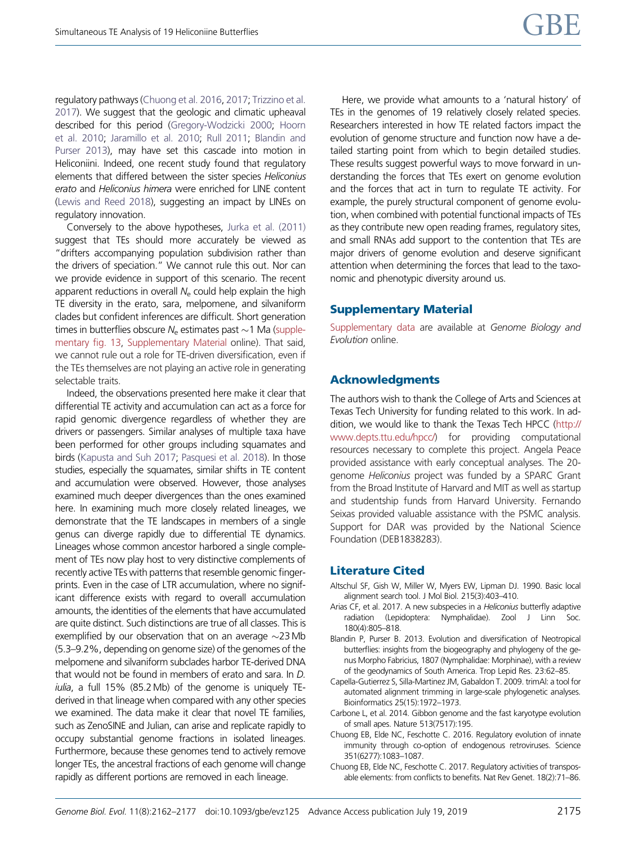<span id="page-13-0"></span>regulatory pathways (Chuong et al. 2016, 2017; [Trizzino et al.](#page-15-0) [2017](#page-15-0)). We suggest that the geologic and climatic upheaval described for this period [\(Gregory-Wodzicki 2000](#page-14-0); [Hoorn](#page-14-0) [et al. 2010](#page-14-0); [Jaramillo et al. 2010](#page-14-0); [Rull 2011;](#page-15-0) Blandin and Purser 2013), may have set this cascade into motion in Heliconiini. Indeed, one recent study found that regulatory elements that differed between the sister species Heliconius erato and Heliconius himera were enriched for LINE content [\(Lewis and Reed 2018\)](#page-14-0), suggesting an impact by LINEs on regulatory innovation.

Conversely to the above hypotheses, [Jurka et al. \(2011\)](#page-14-0) suggest that TEs should more accurately be viewed as "drifters accompanying population subdivision rather than the drivers of speciation." We cannot rule this out. Nor can we provide evidence in support of this scenario. The recent apparent reductions in overall  $N_e$  could help explain the high TE diversity in the erato, sara, melpomene, and silvaniform clades but confident inferences are difficult. Short generation times in butterflies obscure  $\mathcal{N}_{\rm e}$  estimates past  ${\sim}$ 1 Ma [\(supple](https://academic.oup.com/gbe/article-lookup/doi/10.1093/gbe/evz125#supplementary-data)[mentary fig. 13,](https://academic.oup.com/gbe/article-lookup/doi/10.1093/gbe/evz125#supplementary-data) [Supplementary Material](https://academic.oup.com/gbe/article-lookup/doi/10.1093/gbe/evz125#supplementary-data) online). That said, we cannot rule out a role for TE-driven diversification, even if the TEs themselves are not playing an active role in generating selectable traits.

Indeed, the observations presented here make it clear that differential TE activity and accumulation can act as a force for rapid genomic divergence regardless of whether they are drivers or passengers. Similar analyses of multiple taxa have been performed for other groups including squamates and birds ([Kapusta and Suh 2017](#page-14-0); [Pasquesi et al. 2018](#page-15-0)). In those studies, especially the squamates, similar shifts in TE content and accumulation were observed. However, those analyses examined much deeper divergences than the ones examined here. In examining much more closely related lineages, we demonstrate that the TE landscapes in members of a single genus can diverge rapidly due to differential TE dynamics. Lineages whose common ancestor harbored a single complement of TEs now play host to very distinctive complements of recently active TEs with patterns that resemble genomic fingerprints. Even in the case of LTR accumulation, where no significant difference exists with regard to overall accumulation amounts, the identities of the elements that have accumulated are quite distinct. Such distinctions are true of all classes. This is exemplified by our observation that on an average  $\sim$ 23Mb (5.3–9.2%, depending on genome size) of the genomes of the melpomene and silvaniform subclades harbor TE-derived DNA that would not be found in members of erato and sara. In D. iulia, a full 15% (85.2Mb) of the genome is uniquely TEderived in that lineage when compared with any other species we examined. The data make it clear that novel TE families, such as ZenoSINE and Julian, can arise and replicate rapidly to occupy substantial genome fractions in isolated lineages. Furthermore, because these genomes tend to actively remove longer TEs, the ancestral fractions of each genome will change rapidly as different portions are removed in each lineage.

Here, we provide what amounts to a 'natural history' of TEs in the genomes of 19 relatively closely related species. Researchers interested in how TE related factors impact the evolution of genome structure and function now have a detailed starting point from which to begin detailed studies. These results suggest powerful ways to move forward in understanding the forces that TEs exert on genome evolution and the forces that act in turn to regulate TE activity. For example, the purely structural component of genome evolution, when combined with potential functional impacts of TEs as they contribute new open reading frames, regulatory sites, and small RNAs add support to the contention that TEs are major drivers of genome evolution and deserve significant attention when determining the forces that lead to the taxonomic and phenotypic diversity around us.

#### Supplementary Material

[Supplementary data](https://academic.oup.com/gbe/article-lookup/doi/10.1093/gbe/evz125#supplementary-data) are available at Genome Biology and Evolution online.

#### Acknowledgments

The authors wish to thank the College of Arts and Sciences at Texas Tech University for funding related to this work. In addition, we would like to thank the Texas Tech HPCC [\(http://](http://www.depts.ttu.edu/hpcc/) [www.depts.ttu.edu/hpcc/](http://www.depts.ttu.edu/hpcc/)) for providing computational resources necessary to complete this project. Angela Peace provided assistance with early conceptual analyses. The 20 genome Heliconius project was funded by a SPARC Grant from the Broad Institute of Harvard and MIT as well as startup and studentship funds from Harvard University. Fernando Seixas provided valuable assistance with the PSMC analysis. Support for DAR was provided by the National Science Foundation (DEB1838283).

#### Literature Cited

- Altschul SF, Gish W, Miller W, Myers EW, Lipman DJ. 1990. Basic local alignment search tool. J Mol Biol. 215(3):403–410.
- Arias CF, et al. 2017. A new subspecies in a Heliconius butterfly adaptive radiation (Lepidoptera: Nymphalidae). Zool J Linn Soc. 180(4):805–818.
- Blandin P, Purser B. 2013. Evolution and diversification of Neotropical butterflies: insights from the biogeography and phylogeny of the genus Morpho Fabricius, 1807 (Nymphalidae: Morphinae), with a review of the geodynamics of South America. Trop Lepid Res. 23:62–85.
- Capella-Gutierrez S, Silla-Martinez JM, Gabaldon T. 2009. trimAl: a tool for automated alignment trimming in large-scale phylogenetic analyses. Bioinformatics 25(15):1972–1973.
- Carbone L, et al. 2014. Gibbon genome and the fast karyotype evolution of small apes. Nature 513(7517):195.
- Chuong EB, Elde NC, Feschotte C. 2016. Regulatory evolution of innate immunity through co-option of endogenous retroviruses. Science 351(6277):1083–1087.
- Chuong EB, Elde NC, Feschotte C. 2017. Regulatory activities of transposable elements: from conflicts to benefits. Nat Rev Genet. 18(2):71–86.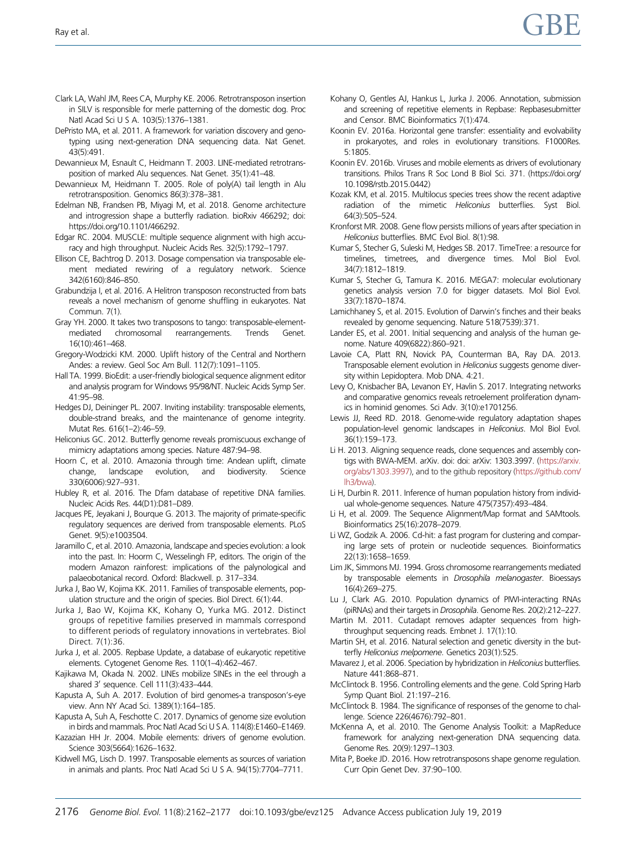- <span id="page-14-0"></span>Clark LA, Wahl JM, Rees CA, Murphy KE. 2006. Retrotransposon insertion in SILV is responsible for merle patterning of the domestic dog. Proc Natl Acad Sci U S A. 103(5):1376–1381.
- DePristo MA, et al. 2011. A framework for variation discovery and genotyping using next-generation DNA sequencing data. Nat Genet. 43(5):491.
- Dewannieux M, Esnault C, Heidmann T. 2003. LINE-mediated retrotransposition of marked Alu sequences. Nat Genet. 35(1):41–48.
- Dewannieux M, Heidmann T. 2005. Role of poly(A) tail length in Alu retrotransposition. Genomics 86(3):378–381.
- Edelman NB, Frandsen PB, Miyagi M, et al. 2018. Genome architecture and introgression shape a butterfly radiation. bioRxiv 466292; doi: https://doi.org/10.1101/466292.
- Edgar RC. 2004. MUSCLE: multiple sequence alignment with high accuracy and high throughput. Nucleic Acids Res. 32(5):1792–1797.
- Ellison CE, Bachtrog D. 2013. Dosage compensation via transposable element mediated rewiring of a regulatory network. Science 342(6160):846–850.
- Grabundzija I, et al. 2016. A Helitron transposon reconstructed from bats reveals a novel mechanism of genome shuffling in eukaryotes. Nat Commun. 7(1).
- Gray YH. 2000. It takes two transposons to tango: transposable-elementmediated chromosomal rearrangements. Trends Genet. 16(10):461–468.
- Gregory-Wodzicki KM. 2000. Uplift history of the Central and Northern Andes: a review. Geol Soc Am Bull. 112(7):1091–1105.
- Hall TA. 1999. BioEdit: a user-friendly biological sequence alignment editor and analysis program for Windows 95/98/NT. Nucleic Acids Symp Ser. 41:95–98.
- Hedges DJ, Deininger PL. 2007. Inviting instability: transposable elements, double-strand breaks, and the maintenance of genome integrity. Mutat Res. 616(1–2):46–59.
- Heliconius GC. 2012. Butterfly genome reveals promiscuous exchange of mimicry adaptations among species. Nature 487:94–98.
- Hoorn C, et al. 2010. Amazonia through time: Andean uplift, climate change, landscape evolution, and biodiversity. Science 330(6006):927–931.
- Hubley R, et al. 2016. The Dfam database of repetitive DNA families. Nucleic Acids Res. 44(D1):D81–D89.
- Jacques PE, Jeyakani J, Bourque G. 2013. The majority of primate-specific regulatory sequences are derived from transposable elements. PLoS Genet. 9(5):e1003504.
- Jaramillo C, et al. 2010. Amazonia, landscape and species evolution: a look into the past. In: Hoorm C, Wesselingh FP, editors. The origin of the modern Amazon rainforest: implications of the palynological and palaeobotanical record. Oxford: Blackwell. p. 317–334.
- Jurka J, Bao W, Kojima KK. 2011. Families of transposable elements, population structure and the origin of species. Biol Direct. 6(1):44.
- Jurka J, Bao W, Kojima KK, Kohany O, Yurka MG. 2012. Distinct groups of repetitive families preserved in mammals correspond to different periods of regulatory innovations in vertebrates. Biol Direct. 7(1):36.
- Jurka J, et al. 2005. Repbase Update, a database of eukaryotic repetitive elements. Cytogenet Genome Res. 110(1–4):462–467.
- Kajikawa M, Okada N. 2002. LINEs mobilize SINEs in the eel through a shared 3' sequence. Cell 111(3):433-444.
- Kapusta A, Suh A. 2017. Evolution of bird genomes-a transposon's-eye view. Ann NY Acad Sci. 1389(1):164–185.
- Kapusta A, Suh A, Feschotte C. 2017. Dynamics of genome size evolution in birds and mammals. Proc Natl Acad Sci U S A. 114(8):E1460–E1469.
- Kazazian HH Jr. 2004. Mobile elements: drivers of genome evolution. Science 303(5664):1626–1632.
- Kidwell MG, Lisch D. 1997. Transposable elements as sources of variation in animals and plants. Proc Natl Acad Sci U S A. 94(15):7704–7711.
- Kohany O, Gentles AJ, Hankus L, Jurka J. 2006. Annotation, submission and screening of repetitive elements in Repbase: Repbasesubmitter and Censor. BMC Bioinformatics 7(1):474.
- Koonin EV. 2016a. Horizontal gene transfer: essentiality and evolvability in prokaryotes, and roles in evolutionary transitions. F1000Res. 5:1805.
- Koonin EV. 2016b. Viruses and mobile elements as drivers of evolutionary transitions. Philos Trans R Soc Lond B Biol Sci. 371. (https://doi.org/ 10.1098/rstb.2015.0442)
- Kozak KM, et al. 2015. Multilocus species trees show the recent adaptive radiation of the mimetic Heliconius butterflies. Syst Biol. 64(3):505–524.
- Kronforst MR. 2008. Gene flow persists millions of years after speciation in Heliconius butterflies. BMC Evol Biol. 8(1):98.
- Kumar S, Stecher G, Suleski M, Hedges SB. 2017. TimeTree: a resource for timelines, timetrees, and divergence times. Mol Biol Evol. 34(7):1812–1819.
- Kumar S, Stecher G, Tamura K. 2016. MEGA7: molecular evolutionary genetics analysis version 7.0 for bigger datasets. Mol Biol Evol. 33(7):1870–1874.
- Lamichhaney S, et al. 2015. Evolution of Darwin's finches and their beaks revealed by genome sequencing. Nature 518(7539):371.
- Lander ES, et al. 2001. Initial sequencing and analysis of the human genome. Nature 409(6822):860–921.
- Lavoie CA, Platt RN, Novick PA, Counterman BA, Ray DA. 2013. Transposable element evolution in Heliconius suggests genome diversity within Lepidoptera. Mob DNA. 4:21.
- Levy O, Knisbacher BA, Levanon EY, Havlin S. 2017. Integrating networks and comparative genomics reveals retroelement proliferation dynamics in hominid genomes. Sci Adv. 3(10):e1701256.
- Lewis JJ, Reed RD. 2018. Genome-wide regulatory adaptation shapes population-level genomic landscapes in Heliconius. Mol Biol Evol. 36(1):159–173.
- Li H. 2013. Aligning sequence reads, clone sequences and assembly contigs with BWA-MEM. arXiv. doi: doi: arXiv: 1303.3997. [\(https://arxiv.](https://arxiv.org/abs/1303.3997) [org/abs/1303.3997\)](https://arxiv.org/abs/1303.3997), and to the github repository [\(https://github.com/](https://github.com/lh3/bwa) [lh3/bwa](https://github.com/lh3/bwa)).
- Li H, Durbin R. 2011. Inference of human population history from individual whole-genome sequences. Nature 475(7357):493–484.
- Li H, et al. 2009. The Sequence Alignment/Map format and SAMtools. Bioinformatics 25(16):2078–2079.
- Li WZ, Godzik A. 2006. Cd-hit: a fast program for clustering and comparing large sets of protein or nucleotide sequences. Bioinformatics 22(13):1658–1659.
- Lim JK, Simmons MJ. 1994. Gross chromosome rearrangements mediated by transposable elements in Drosophila melanogaster. Bioessays 16(4):269–275.
- Lu J, Clark AG. 2010. Population dynamics of PIWI-interacting RNAs (piRNAs) and their targets in Drosophila. Genome Res. 20(2):212–227.
- Martin M. 2011. Cutadapt removes adapter sequences from highthroughput sequencing reads. Embnet J. 17(1):10.
- Martin SH, et al. 2016. Natural selection and genetic diversity in the butterfly Heliconius melpomene. Genetics 203(1):525.
- Mavarez J, et al. 2006. Speciation by hybridization in Heliconius butterflies. Nature 441:868–871.
- McClintock B. 1956. Controlling elements and the gene. Cold Spring Harb Symp Quant Biol. 21:197–216.
- McClintock B. 1984. The significance of responses of the genome to challenge. Science 226(4676):792–801.
- McKenna A, et al. 2010. The Genome Analysis Toolkit: a MapReduce framework for analyzing next-generation DNA sequencing data. Genome Res. 20(9):1297–1303.
- Mita P, Boeke JD. 2016. How retrotransposons shape genome regulation. Curr Opin Genet Dev. 37:90–100.